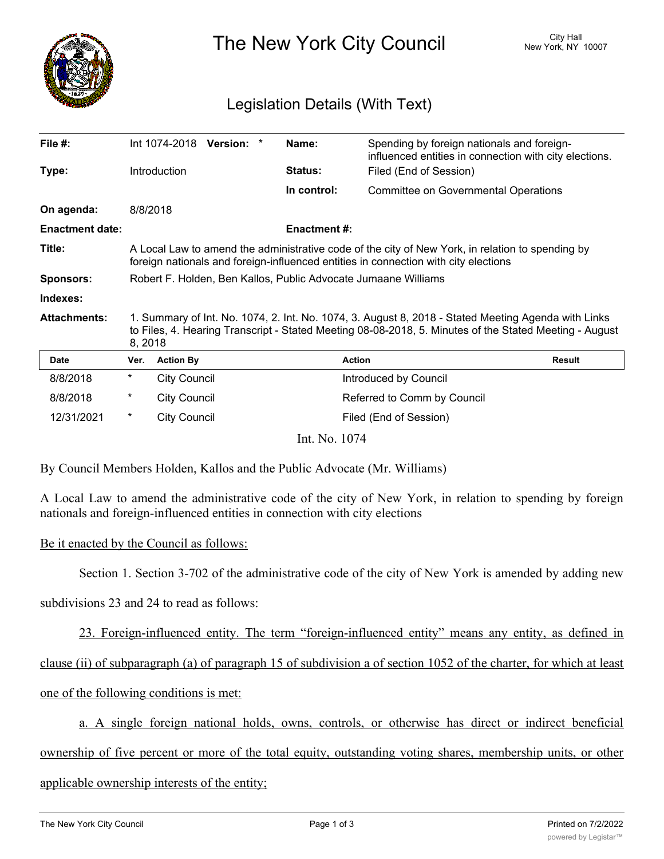

The New York City Council New York, NY 10007

## Legislation Details (With Text)

| File #:                |                                                                                                                                                                                                                          | Int 1074-2018<br><b>Version:</b> | Name:              | Spending by foreign nationals and foreign-<br>influenced entities in connection with city elections. |               |
|------------------------|--------------------------------------------------------------------------------------------------------------------------------------------------------------------------------------------------------------------------|----------------------------------|--------------------|------------------------------------------------------------------------------------------------------|---------------|
| Type:                  | Introduction                                                                                                                                                                                                             |                                  | <b>Status:</b>     | Filed (End of Session)                                                                               |               |
|                        |                                                                                                                                                                                                                          |                                  | In control:        | <b>Committee on Governmental Operations</b>                                                          |               |
| On agenda:             | 8/8/2018                                                                                                                                                                                                                 |                                  |                    |                                                                                                      |               |
| <b>Enactment date:</b> |                                                                                                                                                                                                                          |                                  | <b>Enactment#:</b> |                                                                                                      |               |
| Title:                 | A Local Law to amend the administrative code of the city of New York, in relation to spending by<br>foreign nationals and foreign-influenced entities in connection with city elections                                  |                                  |                    |                                                                                                      |               |
| <b>Sponsors:</b>       | Robert F. Holden, Ben Kallos, Public Advocate Jumaane Williams                                                                                                                                                           |                                  |                    |                                                                                                      |               |
| Indexes:               |                                                                                                                                                                                                                          |                                  |                    |                                                                                                      |               |
| <b>Attachments:</b>    | 1. Summary of Int. No. 1074, 2. Int. No. 1074, 3. August 8, 2018 - Stated Meeting Agenda with Links<br>to Files, 4. Hearing Transcript - Stated Meeting 08-08-2018, 5. Minutes of the Stated Meeting - August<br>8, 2018 |                                  |                    |                                                                                                      |               |
| <b>Date</b>            | Ver.                                                                                                                                                                                                                     | <b>Action By</b>                 |                    | <b>Action</b>                                                                                        | <b>Result</b> |
| 8/8/2018               | $^\star$                                                                                                                                                                                                                 | <b>City Council</b>              |                    | Introduced by Council                                                                                |               |
| 8/8/2018               | $^\star$                                                                                                                                                                                                                 | <b>City Council</b>              |                    | Referred to Comm by Council                                                                          |               |
| 12/31/2021             | $^\star$                                                                                                                                                                                                                 | <b>City Council</b>              |                    | Filed (End of Session)                                                                               |               |
| Int. No. 1074          |                                                                                                                                                                                                                          |                                  |                    |                                                                                                      |               |

By Council Members Holden, Kallos and the Public Advocate (Mr. Williams)

A Local Law to amend the administrative code of the city of New York, in relation to spending by foreign nationals and foreign-influenced entities in connection with city elections

## Be it enacted by the Council as follows:

Section 1. Section 3-702 of the administrative code of the city of New York is amended by adding new

subdivisions 23 and 24 to read as follows:

23. Foreign-influenced entity. The term "foreign-influenced entity" means any entity, as defined in

clause (ii) of subparagraph (a) of paragraph 15 of subdivision a of section 1052 of the charter, for which at least

one of the following conditions is met:

a. A single foreign national holds, owns, controls, or otherwise has direct or indirect beneficial

ownership of five percent or more of the total equity, outstanding voting shares, membership units, or other

applicable ownership interests of the entity;